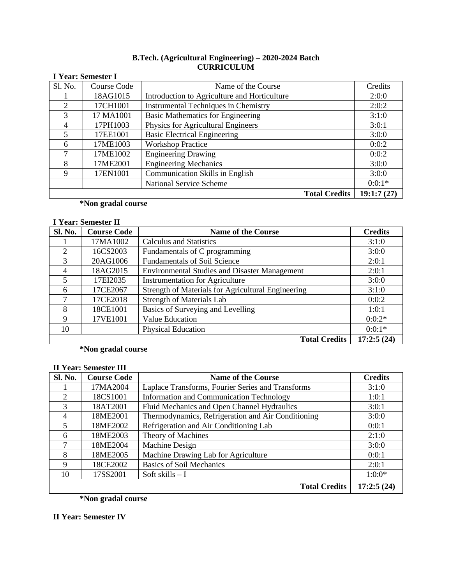#### **B.Tech. (Agricultural Engineering) – 2020-2024 Batch CURRICULUM**

|         | <b>I Year: Semester I</b> |                                              |            |  |  |
|---------|---------------------------|----------------------------------------------|------------|--|--|
| Sl. No. | Course Code               | Name of the Course                           | Credits    |  |  |
|         | 18AG1015                  | Introduction to Agriculture and Horticulture | 2:0:0      |  |  |
| 2       | 17CH1001                  | <b>Instrumental Techniques in Chemistry</b>  | 2:0:2      |  |  |
| 3       | 17 MA1001                 | <b>Basic Mathematics for Engineering</b>     | 3:1:0      |  |  |
| 4       | 17PH1003                  | Physics for Agricultural Engineers           | 3:0:1      |  |  |
| 5       | 17EE1001                  | <b>Basic Electrical Engineering</b>          | 3:0:0      |  |  |
| 6       | 17ME1003                  | <b>Workshop Practice</b>                     | 0:0:2      |  |  |
| 7       | 17ME1002                  | <b>Engineering Drawing</b>                   | 0:0:2      |  |  |
| 8       | 17ME2001                  | <b>Engineering Mechanics</b>                 | 3:0:0      |  |  |
| 9       | 17EN1001                  | Communication Skills in English              | 3:0:0      |  |  |
|         |                           | <b>National Service Scheme</b>               | $0:0:1*$   |  |  |
|         |                           | <b>Total Credits</b>                         | 19:1:7(27) |  |  |

### **\*Non gradal course**

# **I Year: Semester II**

| Sl. No.        | <b>Course Code</b> | <b>Name of the Course</b>                            | <b>Credits</b> |
|----------------|--------------------|------------------------------------------------------|----------------|
|                | 17MA1002           | <b>Calculus and Statistics</b>                       | 3:1:0          |
| $\overline{2}$ | 16CS2003           | Fundamentals of C programming                        | 3:0:0          |
| 3              | 20AG1006           | <b>Fundamentals of Soil Science</b>                  | 2:0:1          |
| 4              | 18AG2015           | <b>Environmental Studies and Disaster Management</b> | 2:0:1          |
| 5              | 17EI2035           | <b>Instrumentation for Agriculture</b>               | 3:0:0          |
| 6              | 17CE2067           | Strength of Materials for Agricultural Engineering   | 3:1:0          |
| 7              | 17CE2018           | <b>Strength of Materials Lab</b>                     | 0:0:2          |
| 8              | 18CE1001           | Basics of Surveying and Levelling                    | 1:0:1          |
| 9              | 17VE1001           | Value Education                                      | $0:0:2*$       |
| 10             |                    | <b>Physical Education</b>                            | $0:0:1*$       |
|                |                    | <b>Total Credits</b>                                 | 17:2:5(24)     |

**\*Non gradal course**

### **II Year: Semester III**

| Sl. No.        | <b>Course Code</b> | <b>Name of the Course</b>                          | <b>Credits</b> |
|----------------|--------------------|----------------------------------------------------|----------------|
|                | 17MA2004           | Laplace Transforms, Fourier Series and Transforms  | 3:1:0          |
| 2              | 18CS1001           | <b>Information and Communication Technology</b>    | 1:0:1          |
| 3              | 18AT2001           | Fluid Mechanics and Open Channel Hydraulics        | 3:0:1          |
| $\overline{4}$ | 18ME2001           | Thermodynamics, Refrigeration and Air Conditioning | 3:0:0          |
| $\overline{5}$ | 18ME2002           | Refrigeration and Air Conditioning Lab             | 0:0:1          |
| 6              | 18ME2003           | Theory of Machines                                 | 2:1:0          |
| 7              | 18ME2004           | Machine Design                                     | 3:0:0          |
| 8              | 18ME2005           | Machine Drawing Lab for Agriculture                | 0:0:1          |
| $\mathbf Q$    | 18CE2002           | <b>Basics of Soil Mechanics</b>                    | 2:0:1          |
| 10             | 17SS2001           | Soft skills $-I$                                   | $1:0:0^*$      |
|                |                    | <b>Total Credits</b>                               | 17:2:5(24)     |

**\*Non gradal course**

# **II Year: Semester IV**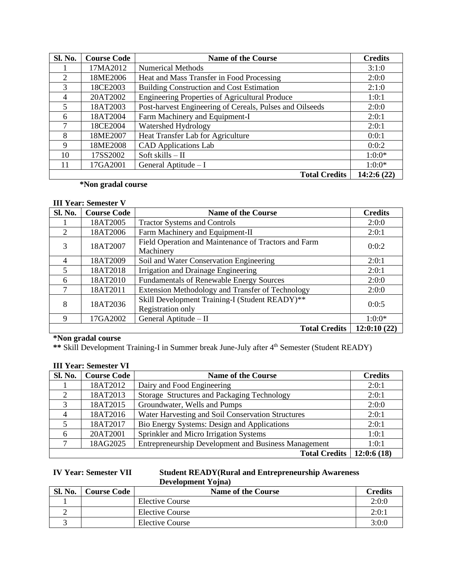| Sl. No.        | <b>Course Code</b> | <b>Name of the Course</b>                                | <b>Credits</b> |
|----------------|--------------------|----------------------------------------------------------|----------------|
|                | 17MA2012           | <b>Numerical Methods</b>                                 | 3:1:0          |
| 2              | 18ME2006           | Heat and Mass Transfer in Food Processing                | 2:0:0          |
| $\mathcal{R}$  | 18CE2003           | <b>Building Construction and Cost Estimation</b>         | 2:1:0          |
| 4              | 20AT2002           | Engineering Properties of Agricultural Produce           | 1:0:1          |
| $\overline{5}$ | 18AT2003           | Post-harvest Engineering of Cereals, Pulses and Oilseeds | 2:0:0          |
| 6              | 18AT2004           | Farm Machinery and Equipment-I                           | 2:0:1          |
| 7              | 18CE2004           | Watershed Hydrology                                      | 2:0:1          |
| 8              | 18ME2007           | Heat Transfer Lab for Agriculture                        | 0:0:1          |
| 9              | 18ME2008           | <b>CAD</b> Applications Lab                              | 0:0:2          |
| 10             | 17SS2002           | Soft skills $-$ II                                       | $1:0:0^*$      |
| 11             | 17GA2001           | General Aptitude $-I$                                    | $1:0:0^*$      |
|                |                    | <b>Total Credits</b>                                     | 14:2:6(22)     |

# **\*Non gradal course**

### **III Year: Semester V**

| Sl. No.        | <b>Course Code</b> | <b>Name of the Course</b>                                           | <b>Credits</b> |
|----------------|--------------------|---------------------------------------------------------------------|----------------|
|                | 18AT2005           | <b>Tractor Systems and Controls</b>                                 | 2:0:0          |
| $\mathfrak{D}$ | 18AT2006           | Farm Machinery and Equipment-II                                     | 2:0:1          |
| 3              | 18AT2007           | Field Operation and Maintenance of Tractors and Farm<br>Machinery   | 0:0:2          |
| 4              | 18AT2009           | Soil and Water Conservation Engineering                             | 2:0:1          |
| 5              | 18AT2018           | Irrigation and Drainage Engineering                                 | 2:0:1          |
| 6              | 18AT2010           | <b>Fundamentals of Renewable Energy Sources</b>                     | 2:0:0          |
| ⇁              | 18AT2011           | Extension Methodology and Transfer of Technology                    | 2:0:0          |
| 8              | 18AT2036           | Skill Development Training-I (Student READY)**<br>Registration only | 0:0:5          |
| 9              | 17GA2002           | General Aptitude - II                                               | $1:0:0^*$      |
|                |                    | <b>Total Credits</b>                                                | 12:0:10(22)    |

# **\*Non gradal course**

**\*\*** Skill Development Training-I in Summer break June-July after 4th Semester (Student READY)

#### **III Year: Semester VI**

| Sl. No.  | <b>Course Code</b> | <b>Name of the Course</b>                            | <b>Credits</b> |
|----------|--------------------|------------------------------------------------------|----------------|
|          | 18AT2012           | Dairy and Food Engineering                           | 2:0:1          |
| $\gamma$ | 18AT2013           | Storage Structures and Packaging Technology          | 2:0:1          |
| 3        | 18AT2015           | Groundwater, Wells and Pumps                         | 2:0:0          |
| 4        | 18AT2016           | Water Harvesting and Soil Conservation Structures    | 2:0:1          |
|          | 18AT2017           | Bio Energy Systems: Design and Applications          | 2:0:1          |
| 6        | 20AT2001           | Sprinkler and Micro Irrigation Systems               | 1:0:1          |
|          | 18AG2025           | Entrepreneurship Development and Business Management | 1:0:1          |
|          |                    | <b>Total Credits</b>                                 | 12:0:6(18)     |

### **IV Year: Semester VII Student READY(Rural and Entrepreneurship Awareness Development Yojna)**

| Sl. No. | <b>Course Code</b> | <b>Name of the Course</b> | <b>Credits</b> |
|---------|--------------------|---------------------------|----------------|
|         |                    | <b>Elective Course</b>    | 2:0:0          |
|         |                    | <b>Elective Course</b>    | 2:0:1          |
|         |                    | <b>Elective Course</b>    | 3:0:0          |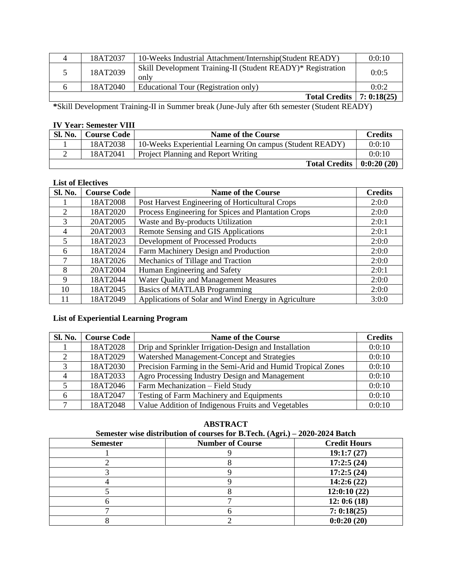| 4 | 18AT2037 | 10-Weeks Industrial Attachment/Internship(Student READY)            | 0:0:10 |
|---|----------|---------------------------------------------------------------------|--------|
|   | 18AT2039 | Skill Development Training-II (Student READY)* Registration<br>only | 0:0:5  |
|   | 18AT2040 | Educational Tour (Registration only)                                | 0:0:2  |
|   |          | <b>Total Credits</b>   7: 0:18(25)                                  |        |

**\***Skill Development Training-II in Summer break (June-July after 6th semester (Student READY)

## **IV Year: Semester VIII**

| Sl. No. | <b>Course Code</b> | <b>Name of the Course</b>                                | <b>Credits</b> |
|---------|--------------------|----------------------------------------------------------|----------------|
|         | 18AT2038           | 10-Weeks Experiential Learning On campus (Student READY) | 0:0:10         |
|         | 18AT2041           | <b>Project Planning and Report Writing</b>               | 0:0:10         |
|         |                    | Total Credits $  0:0:20(20)$                             |                |

### **List of Electives**

| Sl. No.        | <b>Course Code</b> | <b>Name of the Course</b>                            | <b>Credits</b> |
|----------------|--------------------|------------------------------------------------------|----------------|
|                | 18AT2008           | Post Harvest Engineering of Horticultural Crops      | 2:0:0          |
| 2              | 18AT2020           | Process Engineering for Spices and Plantation Crops  | 2:0:0          |
| 3              | 20AT2005           | Waste and By-products Utilization                    | 2:0:1          |
| $\overline{4}$ | 20AT2003           | Remote Sensing and GIS Applications                  | 2:0:1          |
| 5              | 18AT2023           | Development of Processed Products                    | 2:0:0          |
| 6              | 18AT2024           | Farm Machinery Design and Production                 | 2:0:0          |
| 7              | 18AT2026           | Mechanics of Tillage and Traction                    | 2:0:0          |
| 8              | 20AT2004           | Human Engineering and Safety                         | 2:0:1          |
| 9              | 18AT2044           | Water Quality and Management Measures                | 2:0:0          |
| 10             | 18AT2045           | <b>Basics of MATLAB Programming</b>                  | 2:0:0          |
| 11             | 18AT2049           | Applications of Solar and Wind Energy in Agriculture | 3:0:0          |

## **List of Experiential Learning Program**

| <b>Sl. No.</b> | <b>Course Code</b> | <b>Name of the Course</b>                                   | <b>Credits</b> |
|----------------|--------------------|-------------------------------------------------------------|----------------|
|                | 18AT2028           | Drip and Sprinkler Irrigation-Design and Installation       | 0:0:10         |
|                | 18AT2029           | Watershed Management-Concept and Strategies                 | 0:0:10         |
| 3              | 18AT2030           | Precision Farming in the Semi-Arid and Humid Tropical Zones | 0:0:10         |
| 4              | 18AT2033           | Agro Processing Industry Design and Management              | 0:0:10         |
|                | 18AT2046           | Farm Mechanization - Field Study                            | 0:0:10         |
| 6              | 18AT2047           | Testing of Farm Machinery and Equipments                    | 0:0:10         |
|                | 18AT2048           | Value Addition of Indigenous Fruits and Vegetables          | 0:0:10         |

### **ABSTRACT**

#### **Semester wise distribution of courses for B.Tech. (Agri.) – 2020-2024 Batch**

| <b>Semester</b> | $\bullet$ $\prime$<br><b>Number of Course</b> | <b>Credit Hours</b> |
|-----------------|-----------------------------------------------|---------------------|
|                 |                                               | 19:1:7(27)          |
|                 |                                               | 17:2:5(24)          |
|                 |                                               | 17:2:5(24)          |
|                 |                                               | 14:2:6(22)          |
|                 |                                               | 12:0:10(22)         |
|                 |                                               | 12: 0:6(18)         |
|                 |                                               | 7:0:18(25)          |
|                 |                                               | 0:0:20(20)          |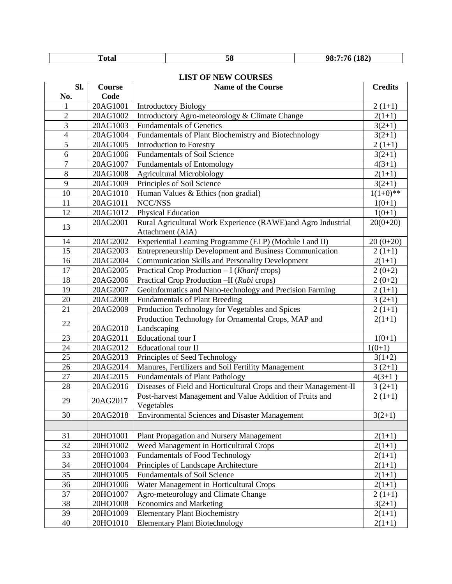| $-4-$<br>1 otal | . .<br>Эō | (182)<br>чx. |
|-----------------|-----------|--------------|

#### **LIST OF NEW COURSES**

| Sl.<br>No.     | Course<br>Code | <b>Name of the Course</b>                                              | <b>Credits</b> |
|----------------|----------------|------------------------------------------------------------------------|----------------|
|                | 20AG1001       | <b>Introductory Biology</b>                                            | $2(1+1)$       |
| $\overline{2}$ | 20AG1002       | Introductory Agro-meteorology & Climate Change                         | $2(1+1)$       |
| 3              | 20AG1003       | <b>Fundamentals of Genetics</b>                                        | $3(2+1)$       |
| $\overline{4}$ | 20AG1004       | Fundamentals of Plant Biochemistry and Biotechnology                   | $3(2+1)$       |
| 5              | 20AG1005       | Introduction to Forestry                                               | $2(1+1)$       |
| 6              | 20AG1006       | <b>Fundamentals of Soil Science</b>                                    | $3(2+1)$       |
| $\overline{7}$ | 20AG1007       | <b>Fundamentals of Entomology</b>                                      | $4(3+1)$       |
| 8              | 20AG1008       | <b>Agricultural Microbiology</b>                                       | $2(1+1)$       |
| 9              | 20AG1009       | Principles of Soil Science                                             | $3(2+1)$       |
| 10             | 20AG1010       | Human Values & Ethics (non gradial)                                    | $1(1+0)**$     |
| 11             | 20AG1011       | NCC/NSS                                                                | $1(0+1)$       |
| 12             | 20AG1012       | Physical Education                                                     | $1(0+1)$       |
|                | 20AG2001       | Rural Agricultural Work Experience (RAWE)and Agro Industrial           | $20(0+20)$     |
| 13             |                | Attachment (AIA)                                                       |                |
| 14             | 20AG2002       | Experiential Learning Programme (ELP) (Module I and II)                | $20(0+20)$     |
| 15             | 20AG2003       | Entrepreneurship Development and Business Communication                | $2(1+1)$       |
| 16             | 20AG2004       | <b>Communication Skills and Personality Development</b>                | $2(1+1)$       |
| 17             | 20AG2005       | Practical Crop Production - I (Kharif crops)                           | $2(0+2)$       |
| 18             | 20AG2006       | Practical Crop Production - II (Rabi crops)                            | $2(0+2)$       |
| 19             | 20AG2007       | Geoinformatics and Nano-technology and Precision Farming               | $2(1+1)$       |
| 20             | 20AG2008       | <b>Fundamentals of Plant Breeding</b>                                  | $3(2+1)$       |
| 21             | 20AG2009       | Production Technology for Vegetables and Spices                        | $2(1+1)$       |
| 22             |                | Production Technology for Ornamental Crops, MAP and                    | $2(1+1)$       |
|                | 20AG2010       | Landscaping                                                            |                |
| 23             | 20AG2011       | Educational tour I                                                     | $1(0+1)$       |
| 24             | 20AG2012       | <b>Educational tour II</b>                                             | $1(0+1)$       |
| 25             | 20AG2013       | Principles of Seed Technology                                          | $3(1+2)$       |
| 26             | 20AG2014       | Manures, Fertilizers and Soil Fertility Management                     | $3(2+1)$       |
| 27             | 20AG2015       | <b>Fundamentals of Plant Pathology</b>                                 | $4(3+1)$       |
| 28             | 20AG2016       | Diseases of Field and Horticultural Crops and their Management-II      | $3(2+1)$       |
| 29             | 20AG2017       | Post-harvest Management and Value Addition of Fruits and<br>Vegetables | $2(1+1)$       |
| 30             | 20AG2018       | <b>Environmental Sciences and Disaster Management</b>                  | $3(2+1)$       |
|                |                |                                                                        |                |
| 31             | 20HO1001       | Plant Propagation and Nursery Management                               | $2(1+1)$       |
| 32             | 20HO1002       | Weed Management in Horticultural Crops                                 | $2(1+1)$       |
| 33             | 20HO1003       | <b>Fundamentals of Food Technology</b>                                 | $2(1+1)$       |
| 34             | 20HO1004       | Principles of Landscape Architecture                                   | $2(1+1)$       |
| 35             | 20HO1005       | <b>Fundamentals of Soil Science</b>                                    | $2(1+1)$       |
| 36             | 20HO1006       | Water Management in Horticultural Crops                                | $2(1+1)$       |
| 37             | 20HO1007       | Agro-meteorology and Climate Change                                    | $2(1+1)$       |
| 38             | 20HO1008       | <b>Economics and Marketing</b>                                         | $3(2+1)$       |
| 39             | 20HO1009       | <b>Elementary Plant Biochemistry</b>                                   | $2(1+1)$       |
| 40             | 20HO1010       | <b>Elementary Plant Biotechnology</b>                                  | $2(1+1)$       |